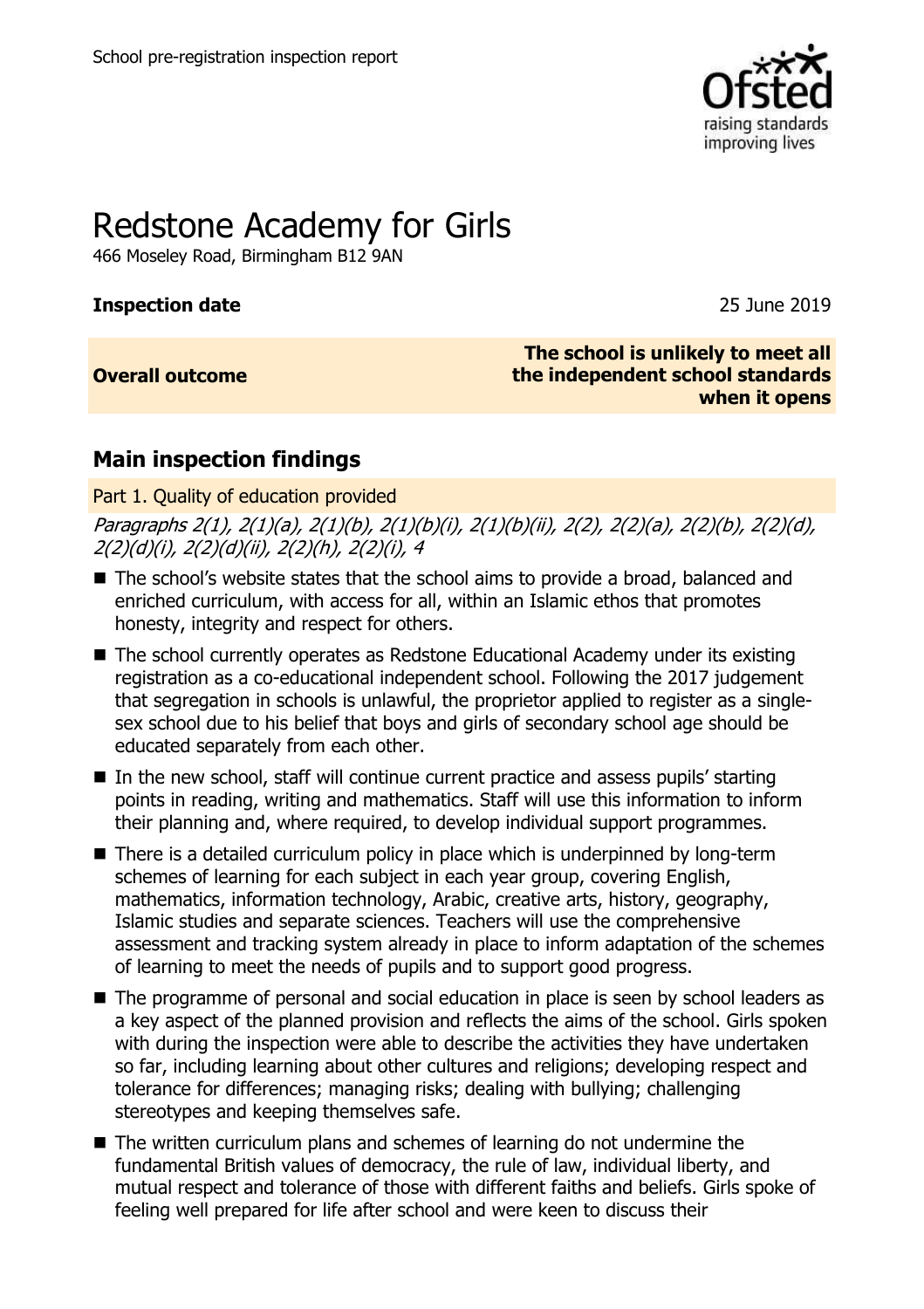

# Redstone Academy for Girls

466 Moseley Road, Birmingham B12 9AN

# **Inspection date** 2019

# **Overall outcome**

**The school is unlikely to meet all the independent school standards when it opens**

# **Main inspection findings**

# Part 1. Quality of education provided

Paragraphs 2(1), 2(1)(a), 2(1)(b), 2(1)(b)(i), 2(1)(b)(ii), 2(2), 2(2)(a), 2(2)(b), 2(2)(d), 2(2)(d)(i), 2(2)(d)(ii), 2(2)(h), 2(2)(i), 4

- The school's website states that the school aims to provide a broad, balanced and enriched curriculum, with access for all, within an Islamic ethos that promotes honesty, integrity and respect for others.
- The school currently operates as Redstone Educational Academy under its existing registration as a co-educational independent school. Following the 2017 judgement that segregation in schools is unlawful, the proprietor applied to register as a singlesex school due to his belief that boys and girls of secondary school age should be educated separately from each other.
- In the new school, staff will continue current practice and assess pupils' starting points in reading, writing and mathematics. Staff will use this information to inform their planning and, where required, to develop individual support programmes.
- $\blacksquare$  There is a detailed curriculum policy in place which is underpinned by long-term schemes of learning for each subject in each year group, covering English, mathematics, information technology, Arabic, creative arts, history, geography, Islamic studies and separate sciences. Teachers will use the comprehensive assessment and tracking system already in place to inform adaptation of the schemes of learning to meet the needs of pupils and to support good progress.
- The programme of personal and social education in place is seen by school leaders as a key aspect of the planned provision and reflects the aims of the school. Girls spoken with during the inspection were able to describe the activities they have undertaken so far, including learning about other cultures and religions; developing respect and tolerance for differences; managing risks; dealing with bullying; challenging stereotypes and keeping themselves safe.
- The written curriculum plans and schemes of learning do not undermine the fundamental British values of democracy, the rule of law, individual liberty, and mutual respect and tolerance of those with different faiths and beliefs. Girls spoke of feeling well prepared for life after school and were keen to discuss their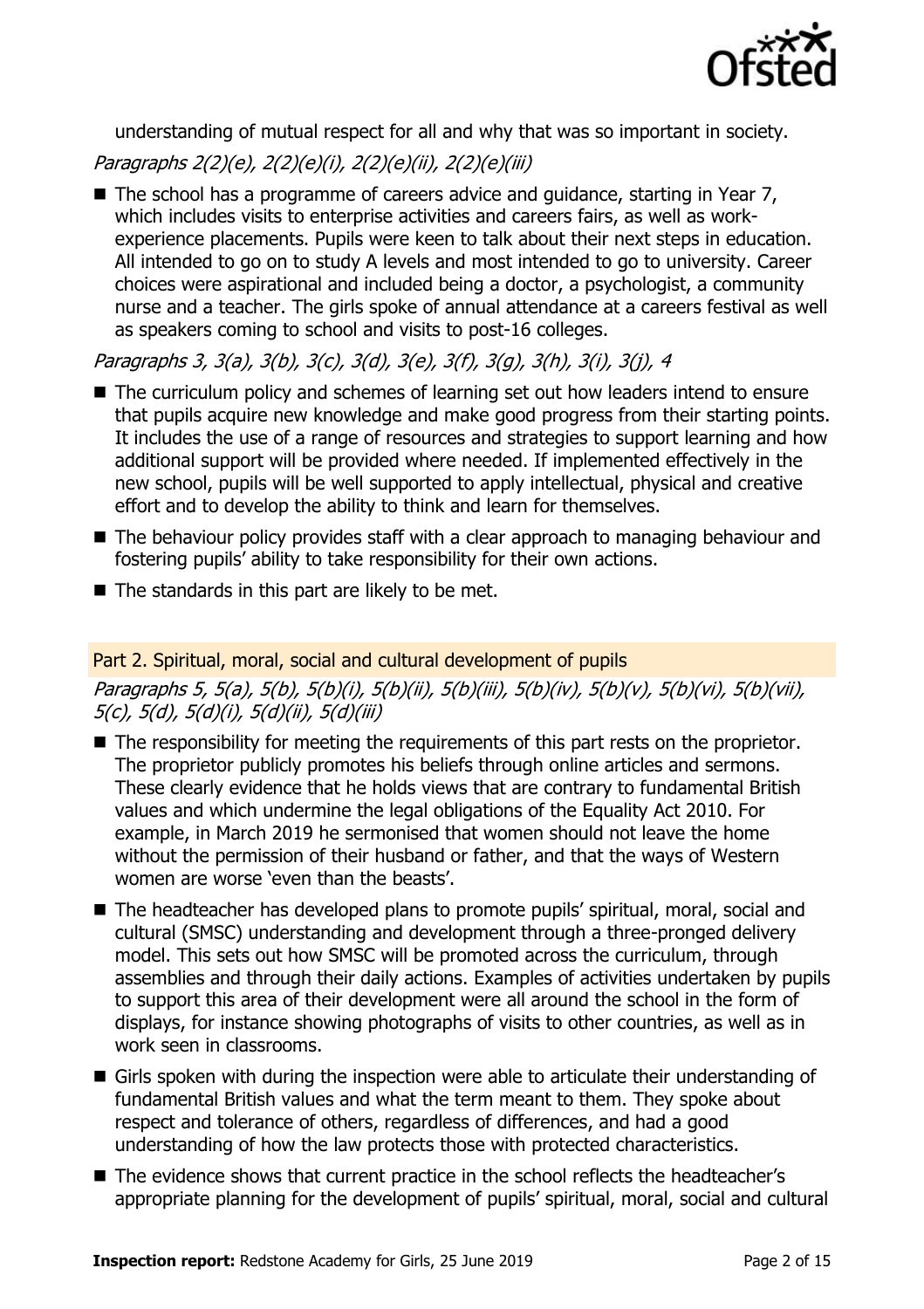

understanding of mutual respect for all and why that was so important in society.

# Paragraphs 2(2)(e), 2(2)(e)(i), 2(2)(e)(ii), 2(2)(e)(iii)

■ The school has a programme of careers advice and guidance, starting in Year 7, which includes visits to enterprise activities and careers fairs, as well as workexperience placements. Pupils were keen to talk about their next steps in education. All intended to go on to study A levels and most intended to go to university. Career choices were aspirational and included being a doctor, a psychologist, a community nurse and a teacher. The girls spoke of annual attendance at a careers festival as well as speakers coming to school and visits to post-16 colleges.

Paragraphs 3, 3(a), 3(b), 3(c), 3(d), 3(e), 3(f), 3(g), 3(h), 3(i), 3(j), 4

- The curriculum policy and schemes of learning set out how leaders intend to ensure that pupils acquire new knowledge and make good progress from their starting points. It includes the use of a range of resources and strategies to support learning and how additional support will be provided where needed. If implemented effectively in the new school, pupils will be well supported to apply intellectual, physical and creative effort and to develop the ability to think and learn for themselves.
- The behaviour policy provides staff with a clear approach to managing behaviour and fostering pupils' ability to take responsibility for their own actions.
- $\blacksquare$  The standards in this part are likely to be met.

# Part 2. Spiritual, moral, social and cultural development of pupils

Paragraphs 5, 5(a), 5(b), 5(b)(i), 5(b)(ii), 5(b)(iii), 5(b)(iv), 5(b)(v), 5(b)(vi), 5(b)(vii), 5(c), 5(d), 5(d)(i), 5(d)(ii), 5(d)(iii)

- The responsibility for meeting the requirements of this part rests on the proprietor. The proprietor publicly promotes his beliefs through online articles and sermons. These clearly evidence that he holds views that are contrary to fundamental British values and which undermine the legal obligations of the Equality Act 2010. For example, in March 2019 he sermonised that women should not leave the home without the permission of their husband or father, and that the ways of Western women are worse 'even than the beasts'.
- The headteacher has developed plans to promote pupils' spiritual, moral, social and cultural (SMSC) understanding and development through a three-pronged delivery model. This sets out how SMSC will be promoted across the curriculum, through assemblies and through their daily actions. Examples of activities undertaken by pupils to support this area of their development were all around the school in the form of displays, for instance showing photographs of visits to other countries, as well as in work seen in classrooms.
- Girls spoken with during the inspection were able to articulate their understanding of fundamental British values and what the term meant to them. They spoke about respect and tolerance of others, regardless of differences, and had a good understanding of how the law protects those with protected characteristics.
- The evidence shows that current practice in the school reflects the headteacher's appropriate planning for the development of pupils' spiritual, moral, social and cultural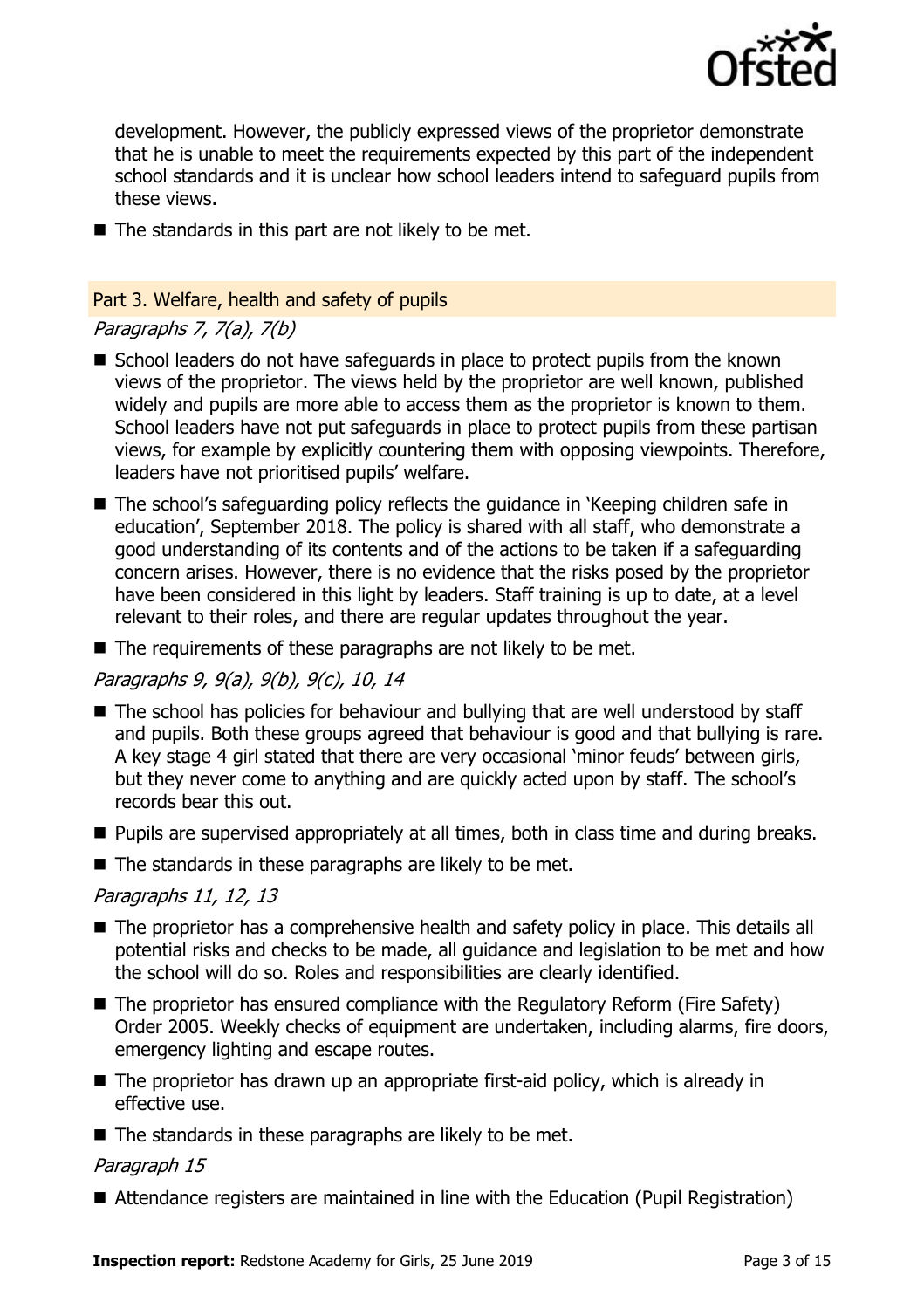

development. However, the publicly expressed views of the proprietor demonstrate that he is unable to meet the requirements expected by this part of the independent school standards and it is unclear how school leaders intend to safeguard pupils from these views.

 $\blacksquare$  The standards in this part are not likely to be met.

#### Part 3. Welfare, health and safety of pupils

# Paragraphs 7, 7(a), 7(b)

- School leaders do not have safeguards in place to protect pupils from the known views of the proprietor. The views held by the proprietor are well known, published widely and pupils are more able to access them as the proprietor is known to them. School leaders have not put safeguards in place to protect pupils from these partisan views, for example by explicitly countering them with opposing viewpoints. Therefore, leaders have not prioritised pupils' welfare.
- The school's safeguarding policy reflects the guidance in 'Keeping children safe in education', September 2018. The policy is shared with all staff, who demonstrate a good understanding of its contents and of the actions to be taken if a safeguarding concern arises. However, there is no evidence that the risks posed by the proprietor have been considered in this light by leaders. Staff training is up to date, at a level relevant to their roles, and there are regular updates throughout the year.
- $\blacksquare$  The requirements of these paragraphs are not likely to be met.

# Paragraphs 9, 9(a), 9(b), 9(c), 10, 14

- The school has policies for behaviour and bullying that are well understood by staff and pupils. Both these groups agreed that behaviour is good and that bullying is rare. A key stage 4 girl stated that there are very occasional 'minor feuds' between girls, but they never come to anything and are quickly acted upon by staff. The school's records bear this out.
- **Pupils are supervised appropriately at all times, both in class time and during breaks.**
- $\blacksquare$  The standards in these paragraphs are likely to be met.

# Paragraphs 11, 12, 13

- The proprietor has a comprehensive health and safety policy in place. This details all potential risks and checks to be made, all guidance and legislation to be met and how the school will do so. Roles and responsibilities are clearly identified.
- The proprietor has ensured compliance with the Regulatory Reform (Fire Safety) Order 2005. Weekly checks of equipment are undertaken, including alarms, fire doors, emergency lighting and escape routes.
- $\blacksquare$  The proprietor has drawn up an appropriate first-aid policy, which is already in effective use.
- $\blacksquare$  The standards in these paragraphs are likely to be met.

#### Paragraph 15

Attendance registers are maintained in line with the Education (Pupil Registration)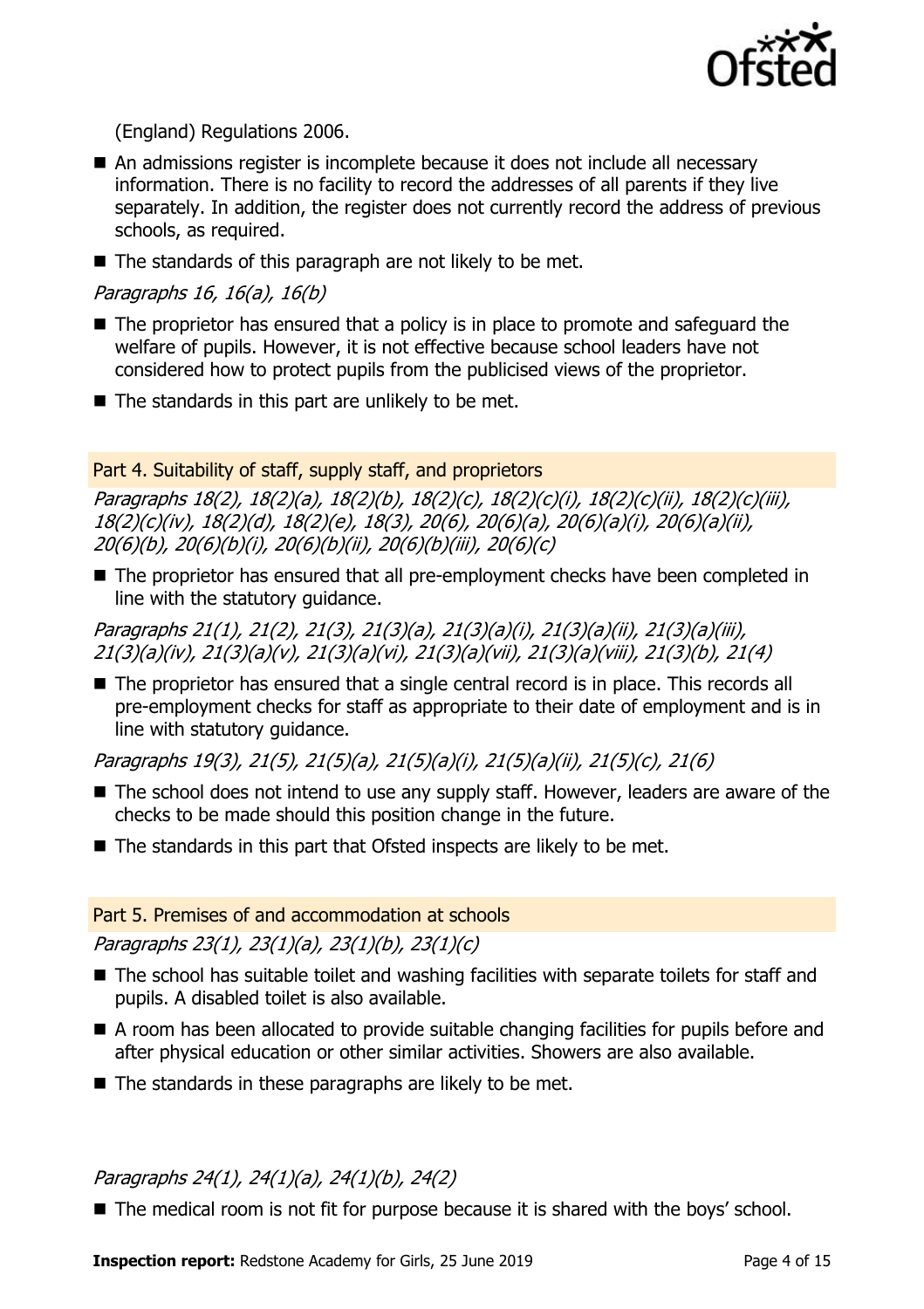

(England) Regulations 2006.

- An admissions register is incomplete because it does not include all necessary information. There is no facility to record the addresses of all parents if they live separately. In addition, the register does not currently record the address of previous schools, as required.
- The standards of this paragraph are not likely to be met.

Paragraphs 16, 16(a), 16(b)

- The proprietor has ensured that a policy is in place to promote and safeguard the welfare of pupils. However, it is not effective because school leaders have not considered how to protect pupils from the publicised views of the proprietor.
- $\blacksquare$  The standards in this part are unlikely to be met.

#### Part 4. Suitability of staff, supply staff, and proprietors

Paragraphs 18(2), 18(2)(a), 18(2)(b), 18(2)(c), 18(2)(c)(i), 18(2)(c)(ii), 18(2)(c)(iii), 18(2)(c)(iv), 18(2)(d), 18(2)(e), 18(3), 20(6), 20(6)(a), 20(6)(a)(i), 20(6)(a)(ii), 20(6)(b), 20(6)(b)(i), 20(6)(b)(ii), 20(6)(b)(iii), 20(6)(c)

■ The proprietor has ensured that all pre-employment checks have been completed in line with the statutory guidance.

Paragraphs 21(1), 21(2), 21(3), 21(3)(a), 21(3)(a)(i), 21(3)(a)(ii), 21(3)(a)(iii), 21(3)(a)(iv), 21(3)(a)(v), 21(3)(a)(vi), 21(3)(a)(vii), 21(3)(a)(viii), 21(3)(b), 21(4)

■ The proprietor has ensured that a single central record is in place. This records all pre-employment checks for staff as appropriate to their date of employment and is in line with statutory guidance.

Paragraphs 19(3), 21(5), 21(5)(a), 21(5)(a)(i), 21(5)(a)(ii), 21(5)(c), 21(6)

- The school does not intend to use any supply staff. However, leaders are aware of the checks to be made should this position change in the future.
- $\blacksquare$  The standards in this part that Ofsted inspects are likely to be met.

#### Part 5. Premises of and accommodation at schools

Paragraphs 23(1), 23(1)(a), 23(1)(b), 23(1)(c)

- The school has suitable toilet and washing facilities with separate toilets for staff and pupils. A disabled toilet is also available.
- A room has been allocated to provide suitable changing facilities for pupils before and after physical education or other similar activities. Showers are also available.
- $\blacksquare$  The standards in these paragraphs are likely to be met.

# Paragraphs 24(1), 24(1)(a), 24(1)(b), 24(2)

■ The medical room is not fit for purpose because it is shared with the boys' school.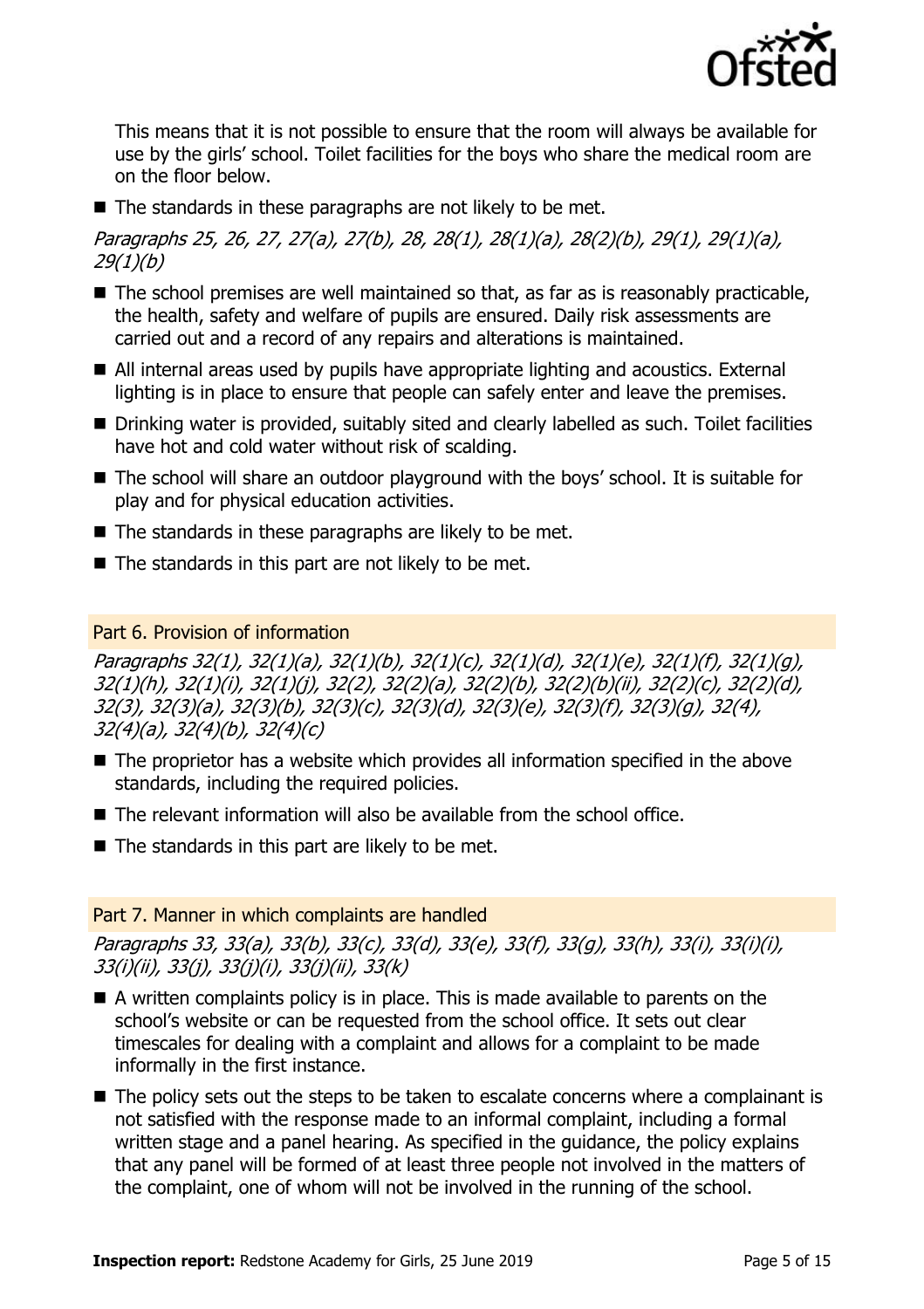

This means that it is not possible to ensure that the room will always be available for use by the girls' school. Toilet facilities for the boys who share the medical room are on the floor below.

 $\blacksquare$  The standards in these paragraphs are not likely to be met.

Paragraphs 25, 26, 27, 27(a), 27(b), 28, 28(1), 28(1)(a), 28(2)(b), 29(1), 29(1)(a), 29(1)(b)

- The school premises are well maintained so that, as far as is reasonably practicable, the health, safety and welfare of pupils are ensured. Daily risk assessments are carried out and a record of any repairs and alterations is maintained.
- All internal areas used by pupils have appropriate lighting and acoustics. External lighting is in place to ensure that people can safely enter and leave the premises.
- Drinking water is provided, suitably sited and clearly labelled as such. Toilet facilities have hot and cold water without risk of scalding.
- The school will share an outdoor playground with the boys' school. It is suitable for play and for physical education activities.
- $\blacksquare$  The standards in these paragraphs are likely to be met.
- The standards in this part are not likely to be met.

# Part 6. Provision of information

Paragraphs 32(1), 32(1)(a), 32(1)(b), 32(1)(c), 32(1)(d), 32(1)(e), 32(1)(f), 32(1)(g), 32(1)(h), 32(1)(i), 32(1)(j), 32(2), 32(2)(a), 32(2)(b), 32(2)(b)(ii), 32(2)(c), 32(2)(d), 32(3), 32(3)(a), 32(3)(b), 32(3)(c), 32(3)(d), 32(3)(e), 32(3)(f), 32(3)(g), 32(4), 32(4)(a), 32(4)(b), 32(4)(c)

- The proprietor has a website which provides all information specified in the above standards, including the required policies.
- The relevant information will also be available from the school office.
- $\blacksquare$  The standards in this part are likely to be met.

# Part 7. Manner in which complaints are handled

Paragraphs 33, 33(a), 33(b), 33(c), 33(d), 33(e), 33(f), 33(g), 33(h), 33(i), 33(i)(i), 33(i)(ii), 33(j), 33(j)(i), 33(j)(ii), 33(k)

- $\blacksquare$  A written complaints policy is in place. This is made available to parents on the school's website or can be requested from the school office. It sets out clear timescales for dealing with a complaint and allows for a complaint to be made informally in the first instance.
- The policy sets out the steps to be taken to escalate concerns where a complainant is not satisfied with the response made to an informal complaint, including a formal written stage and a panel hearing. As specified in the guidance, the policy explains that any panel will be formed of at least three people not involved in the matters of the complaint, one of whom will not be involved in the running of the school.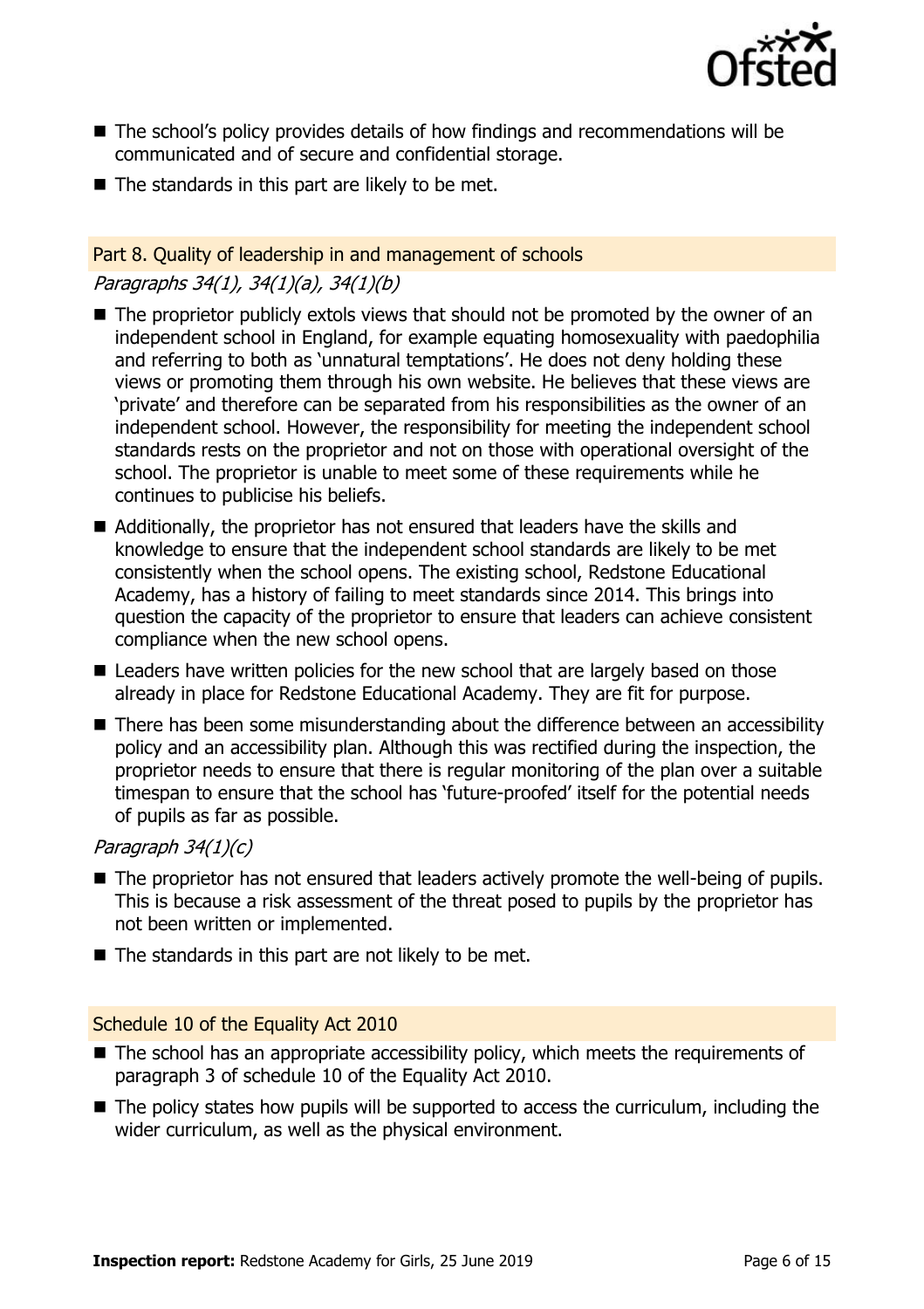

- The school's policy provides details of how findings and recommendations will be communicated and of secure and confidential storage.
- $\blacksquare$  The standards in this part are likely to be met.

#### Part 8. Quality of leadership in and management of schools

# Paragraphs 34(1), 34(1)(a), 34(1)(b)

- $\blacksquare$  The proprietor publicly extols views that should not be promoted by the owner of an independent school in England, for example equating homosexuality with paedophilia and referring to both as 'unnatural temptations'. He does not deny holding these views or promoting them through his own website. He believes that these views are 'private' and therefore can be separated from his responsibilities as the owner of an independent school. However, the responsibility for meeting the independent school standards rests on the proprietor and not on those with operational oversight of the school. The proprietor is unable to meet some of these requirements while he continues to publicise his beliefs.
- Additionally, the proprietor has not ensured that leaders have the skills and knowledge to ensure that the independent school standards are likely to be met consistently when the school opens. The existing school, Redstone Educational Academy, has a history of failing to meet standards since 2014. This brings into question the capacity of the proprietor to ensure that leaders can achieve consistent compliance when the new school opens.
- Leaders have written policies for the new school that are largely based on those already in place for Redstone Educational Academy. They are fit for purpose.
- There has been some misunderstanding about the difference between an accessibility policy and an accessibility plan. Although this was rectified during the inspection, the proprietor needs to ensure that there is regular monitoring of the plan over a suitable timespan to ensure that the school has 'future-proofed' itself for the potential needs of pupils as far as possible.

#### Paragraph 34(1)(c)

- The proprietor has not ensured that leaders actively promote the well-being of pupils. This is because a risk assessment of the threat posed to pupils by the proprietor has not been written or implemented.
- The standards in this part are not likely to be met.

#### Schedule 10 of the Equality Act 2010

- The school has an appropriate accessibility policy, which meets the requirements of paragraph 3 of schedule 10 of the Equality Act 2010.
- The policy states how pupils will be supported to access the curriculum, including the wider curriculum, as well as the physical environment.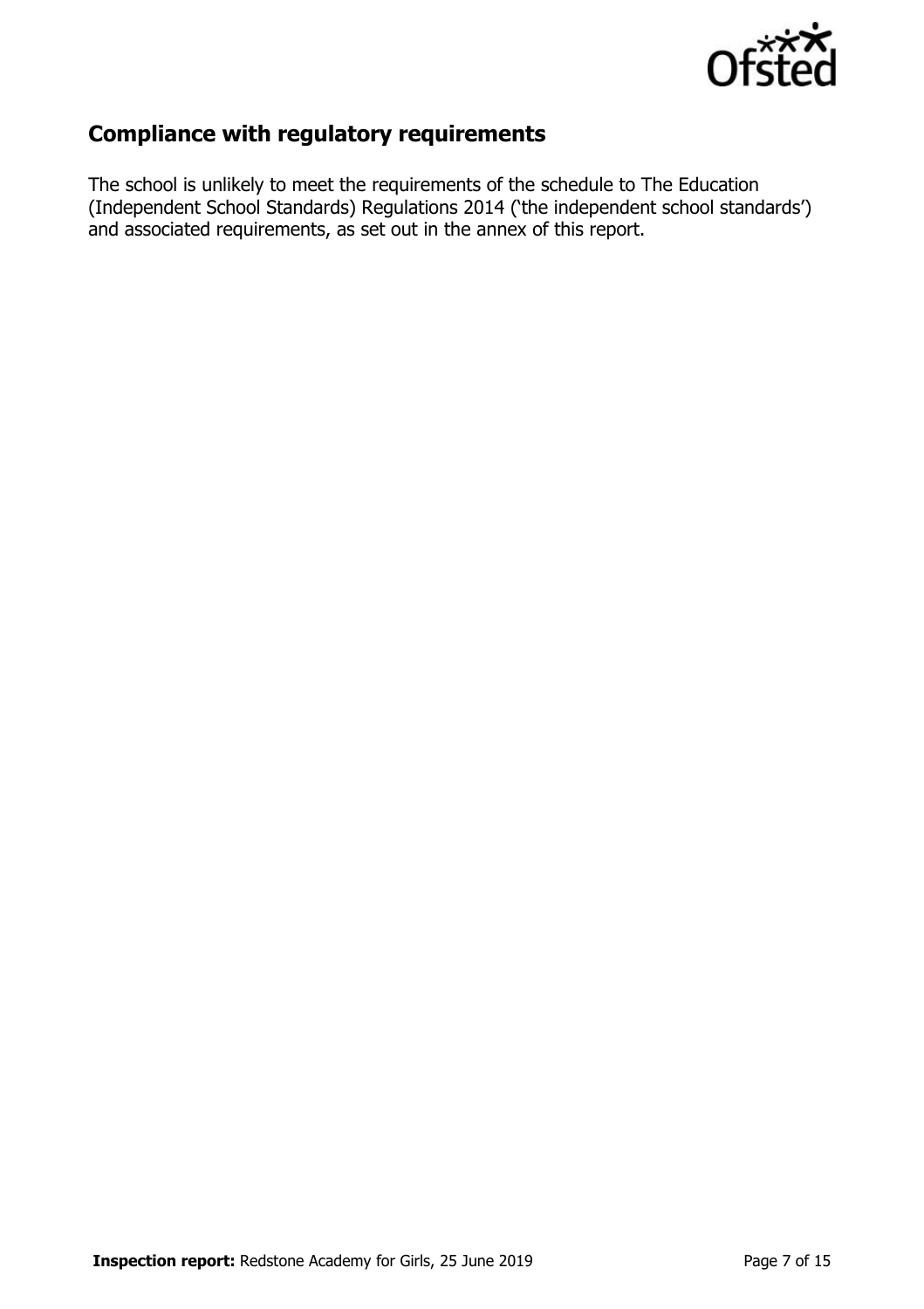

# **Compliance with regulatory requirements**

The school is unlikely to meet the requirements of the schedule to The Education (Independent School Standards) Regulations 2014 ('the independent school standards') and associated requirements, as set out in the annex of this report.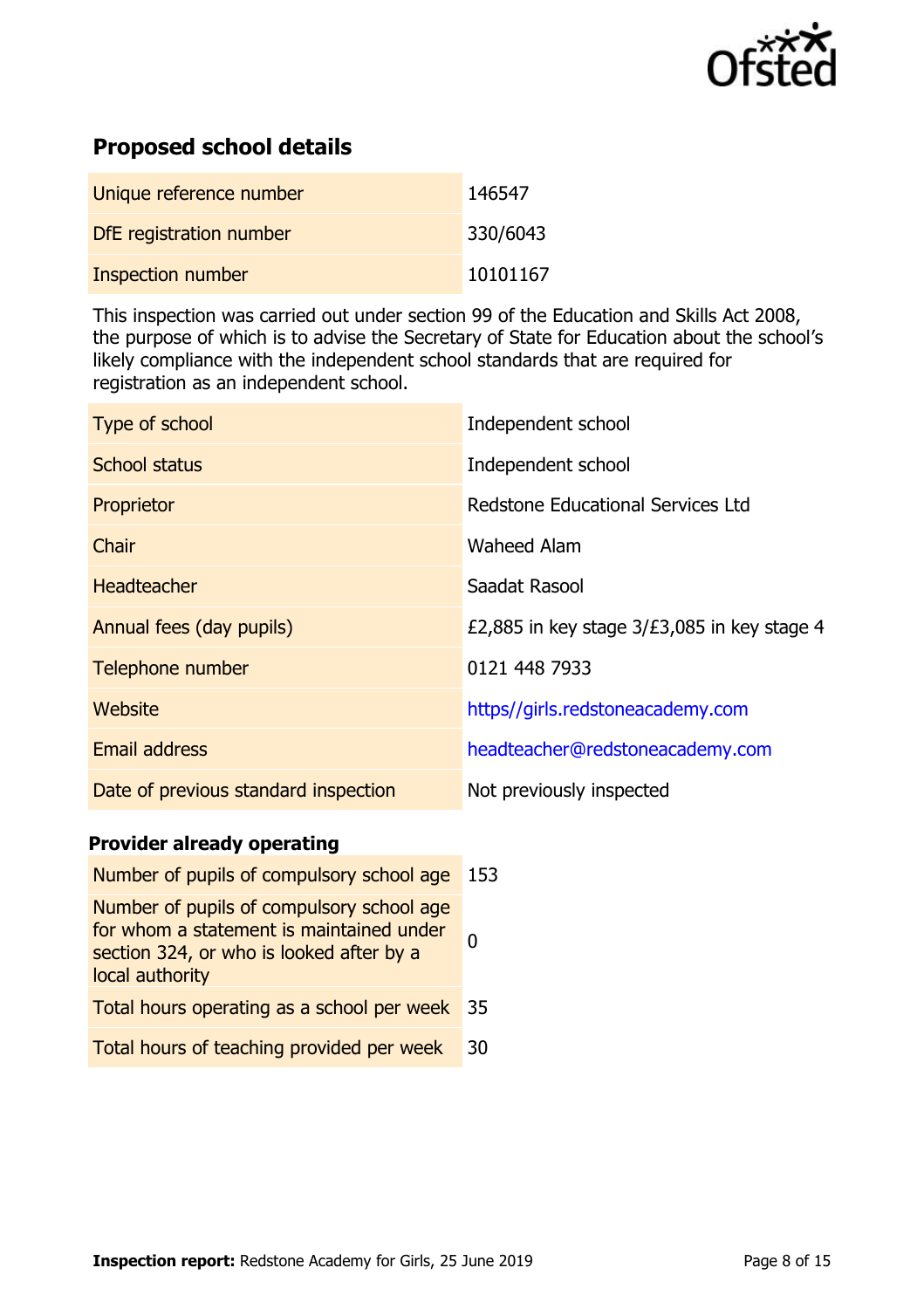

# **Proposed school details**

| Unique reference number | 146547   |
|-------------------------|----------|
| DfE registration number | 330/6043 |
| Inspection number       | 10101167 |

This inspection was carried out under section 99 of the Education and Skills Act 2008, the purpose of which is to advise the Secretary of State for Education about the school's likely compliance with the independent school standards that are required for registration as an independent school.

| Independent school                            |
|-----------------------------------------------|
| Independent school                            |
| Redstone Educational Services Ltd             |
| <b>Waheed Alam</b>                            |
| Saadat Rasool                                 |
| £2,885 in key stage $3/E3,085$ in key stage 4 |
| 0121 448 7933                                 |
| https//girls.redstoneacademy.com              |
| headteacher@redstoneacademy.com               |
| Not previously inspected                      |
|                                               |

# **Provider already operating**

| Number of pupils of compulsory school age                                                                                                            | 153 |
|------------------------------------------------------------------------------------------------------------------------------------------------------|-----|
| Number of pupils of compulsory school age<br>for whom a statement is maintained under<br>section 324, or who is looked after by a<br>local authority |     |
| Total hours operating as a school per week                                                                                                           | 35  |
| Total hours of teaching provided per week                                                                                                            | 30  |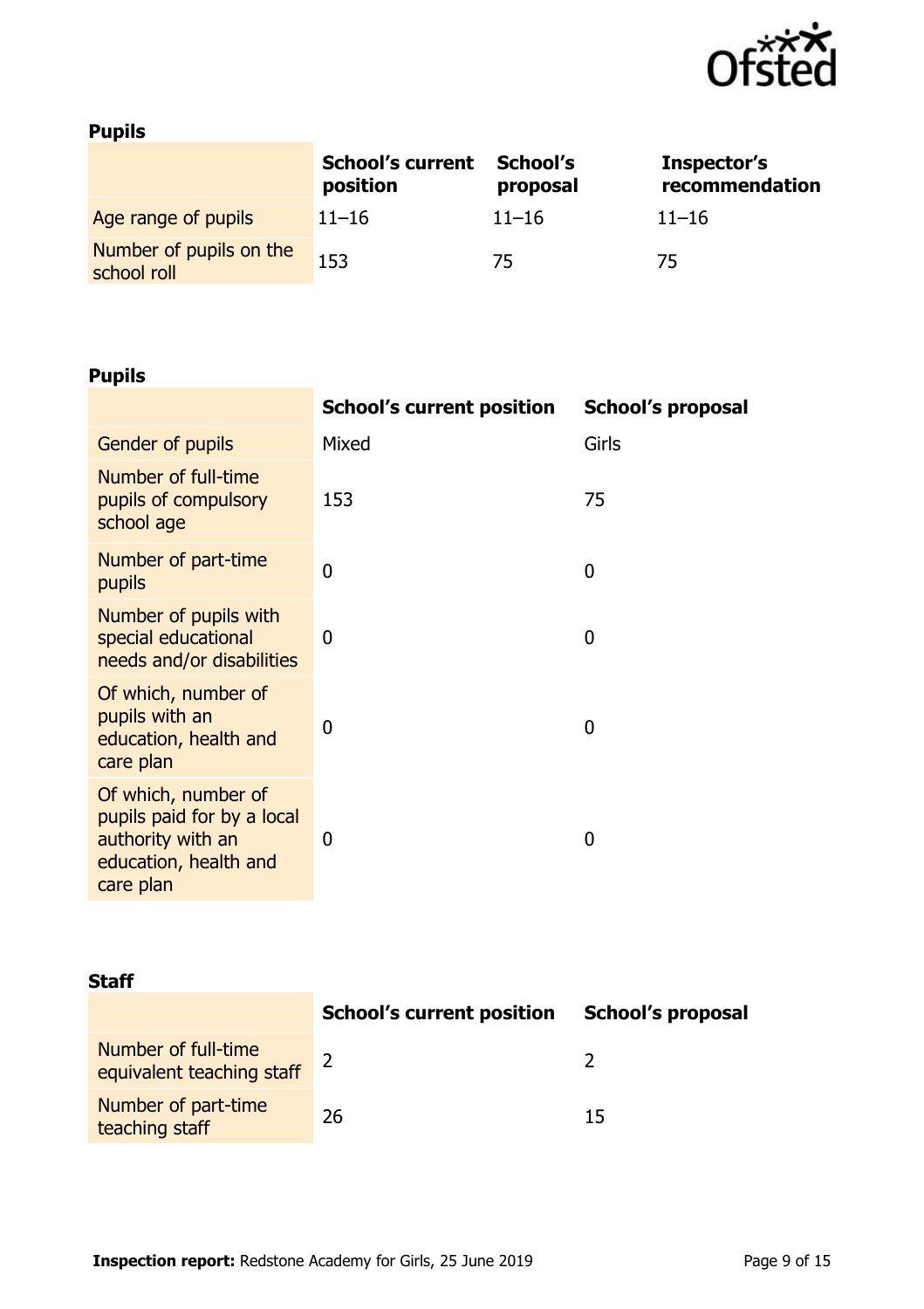

# **Pupils**

|                                        | <b>School's current</b><br>position | School's<br>proposal | Inspector's<br>recommendation |
|----------------------------------------|-------------------------------------|----------------------|-------------------------------|
| Age range of pupils                    | $11 - 16$                           | $11 - 16$            | $11 - 16$                     |
| Number of pupils on the<br>school roll | 153                                 | 75                   | 75                            |

# **Pupils**

|                                                                                                              | <b>School's current position</b> | <b>School's proposal</b> |
|--------------------------------------------------------------------------------------------------------------|----------------------------------|--------------------------|
| Gender of pupils                                                                                             | Mixed                            | Girls                    |
| Number of full-time<br>pupils of compulsory<br>school age                                                    | 153                              | 75                       |
| Number of part-time<br>pupils                                                                                | $\overline{0}$                   | 0                        |
| Number of pupils with<br>special educational<br>needs and/or disabilities                                    | 0                                | 0                        |
| Of which, number of<br>pupils with an<br>education, health and<br>care plan                                  | 0                                | 0                        |
| Of which, number of<br>pupils paid for by a local<br>authority with an<br>education, health and<br>care plan | 0                                | 0                        |

| Staff                                            |                                  |                          |  |  |
|--------------------------------------------------|----------------------------------|--------------------------|--|--|
|                                                  | <b>School's current position</b> | <b>School's proposal</b> |  |  |
| Number of full-time<br>equivalent teaching staff |                                  |                          |  |  |
| Number of part-time<br>teaching staff            | 26                               | 15                       |  |  |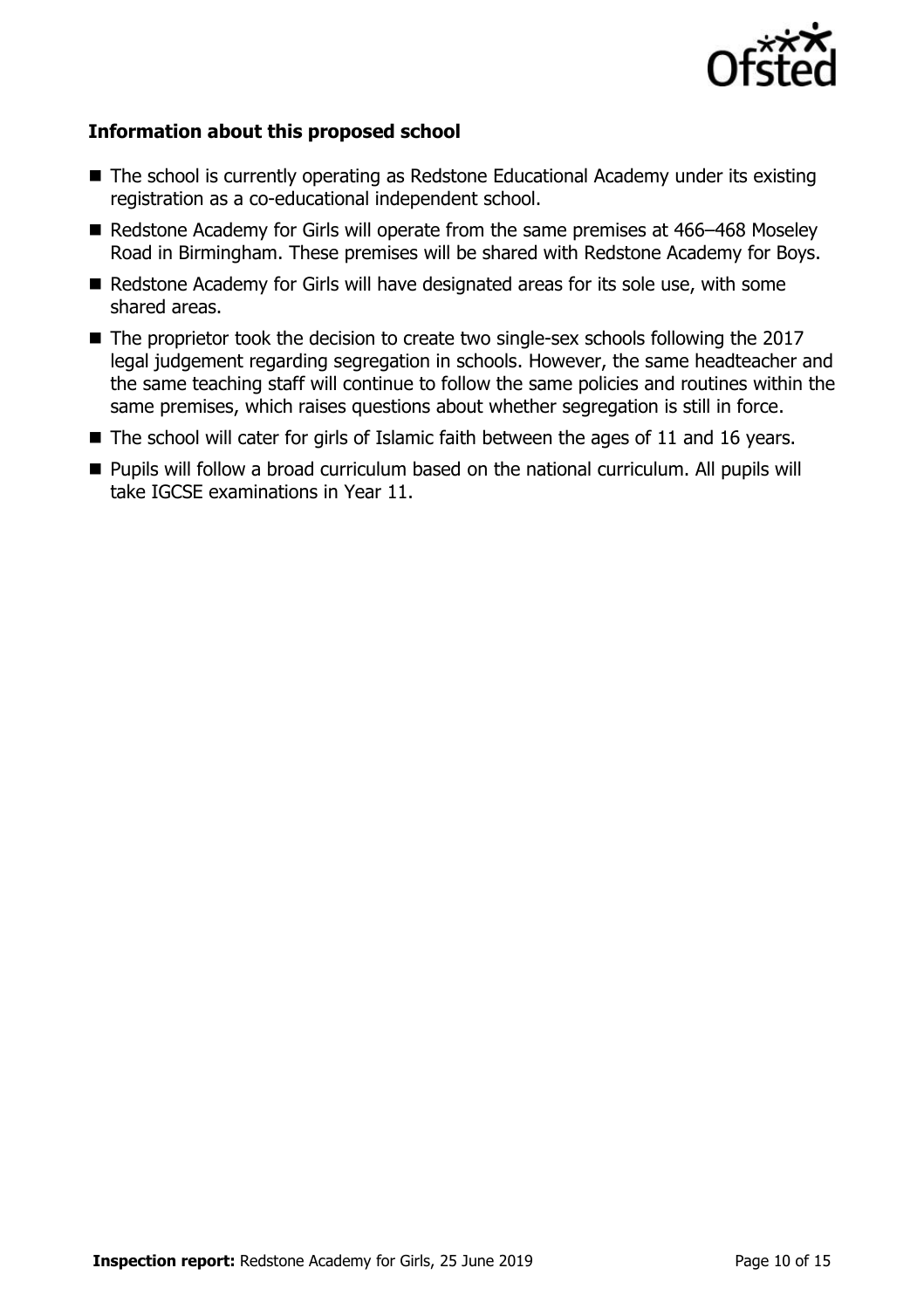

#### **Information about this proposed school**

- The school is currently operating as Redstone Educational Academy under its existing registration as a co-educational independent school.
- Redstone Academy for Girls will operate from the same premises at 466–468 Moseley Road in Birmingham. These premises will be shared with Redstone Academy for Boys.
- Redstone Academy for Girls will have designated areas for its sole use, with some shared areas.
- The proprietor took the decision to create two single-sex schools following the 2017 legal judgement regarding segregation in schools. However, the same headteacher and the same teaching staff will continue to follow the same policies and routines within the same premises, which raises questions about whether segregation is still in force.
- $\blacksquare$  The school will cater for girls of Islamic faith between the ages of 11 and 16 years.
- Pupils will follow a broad curriculum based on the national curriculum. All pupils will take IGCSE examinations in Year 11.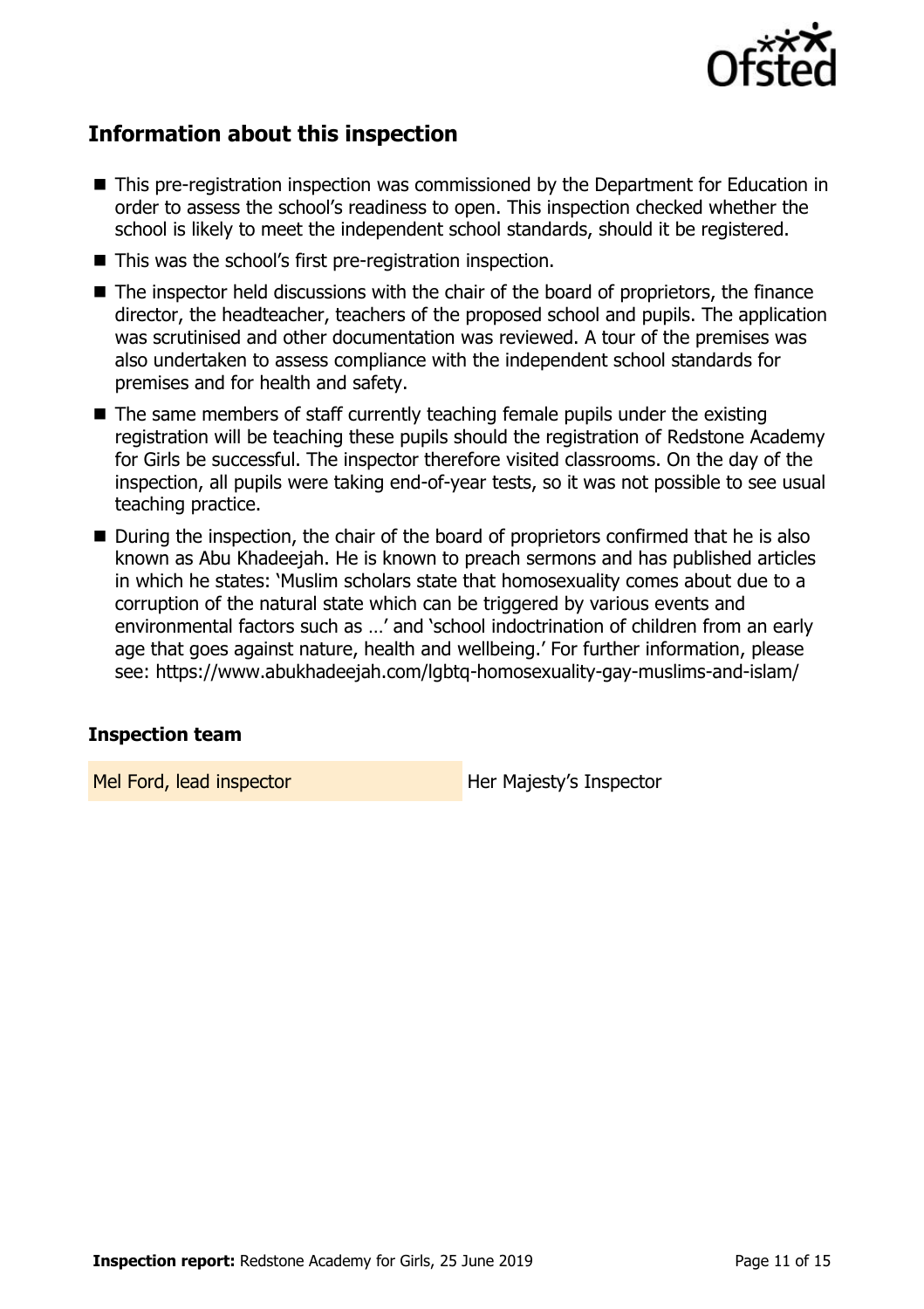

# **Information about this inspection**

- This pre-registration inspection was commissioned by the Department for Education in order to assess the school's readiness to open. This inspection checked whether the school is likely to meet the independent school standards, should it be registered.
- This was the school's first pre-registration inspection.
- The inspector held discussions with the chair of the board of proprietors, the finance director, the headteacher, teachers of the proposed school and pupils. The application was scrutinised and other documentation was reviewed. A tour of the premises was also undertaken to assess compliance with the independent school standards for premises and for health and safety.
- $\blacksquare$  The same members of staff currently teaching female pupils under the existing registration will be teaching these pupils should the registration of Redstone Academy for Girls be successful. The inspector therefore visited classrooms. On the day of the inspection, all pupils were taking end-of-year tests, so it was not possible to see usual teaching practice.
- During the inspection, the chair of the board of proprietors confirmed that he is also known as Abu Khadeejah. He is known to preach sermons and has published articles in which he states: 'Muslim scholars state that homosexuality comes about due to a corruption of the natural state which can be triggered by various events and environmental factors such as …' and 'school indoctrination of children from an early age that goes against nature, health and wellbeing.' For further information, please see: https://www.abukhadeejah.com/lgbtq-homosexuality-gay-muslims-and-islam/

# **Inspection team**

Mel Ford, lead inspector Her Majesty's Inspector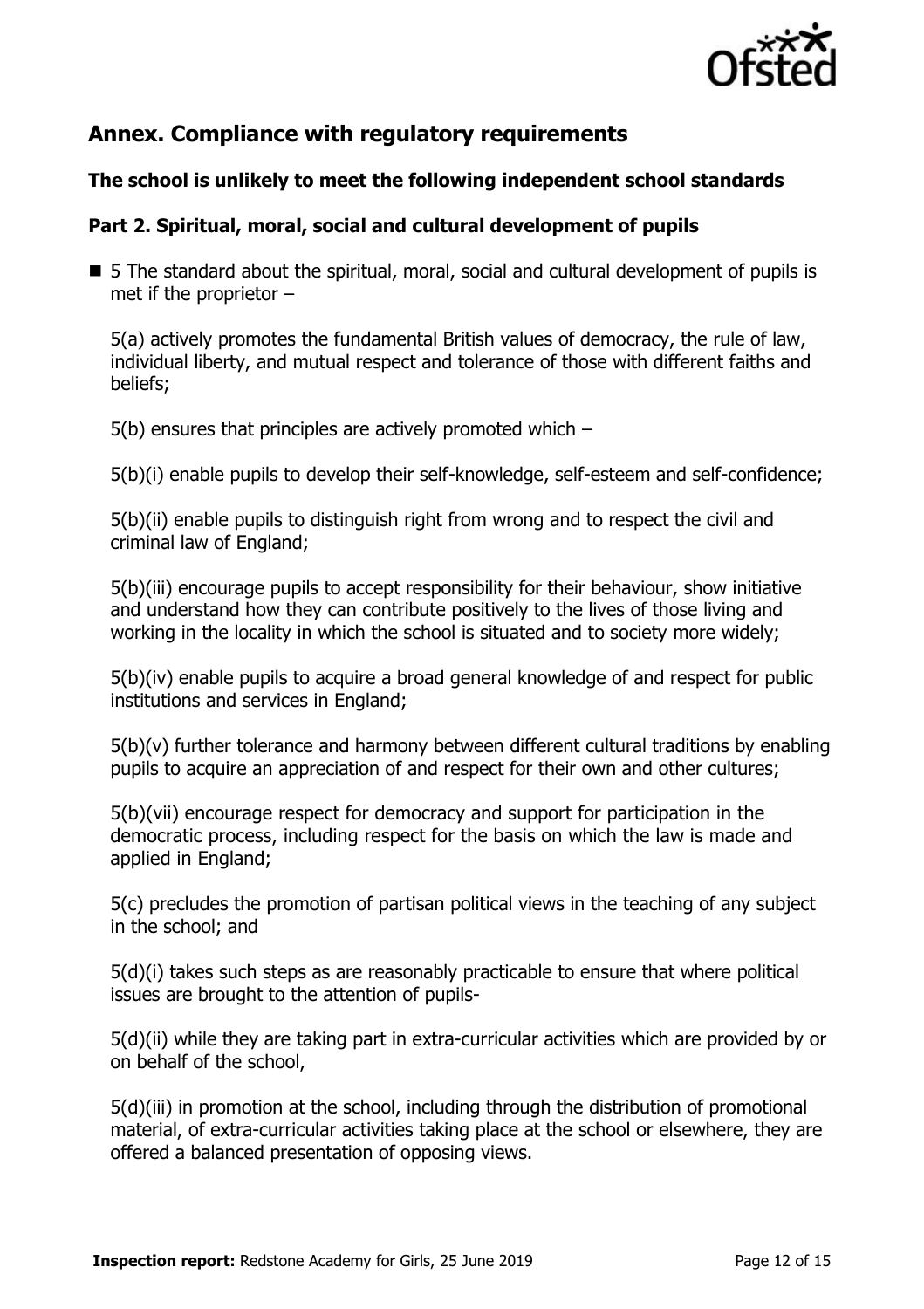

# **Annex. Compliance with regulatory requirements**

# **The school is unlikely to meet the following independent school standards**

# **Part 2. Spiritual, moral, social and cultural development of pupils**

 5 The standard about the spiritual, moral, social and cultural development of pupils is met if the proprietor –

5(a) actively promotes the fundamental British values of democracy, the rule of law, individual liberty, and mutual respect and tolerance of those with different faiths and beliefs;

5(b) ensures that principles are actively promoted which –

5(b)(i) enable pupils to develop their self-knowledge, self-esteem and self-confidence;

5(b)(ii) enable pupils to distinguish right from wrong and to respect the civil and criminal law of England;

5(b)(iii) encourage pupils to accept responsibility for their behaviour, show initiative and understand how they can contribute positively to the lives of those living and working in the locality in which the school is situated and to society more widely;

5(b)(iv) enable pupils to acquire a broad general knowledge of and respect for public institutions and services in England;

5(b)(v) further tolerance and harmony between different cultural traditions by enabling pupils to acquire an appreciation of and respect for their own and other cultures;

5(b)(vii) encourage respect for democracy and support for participation in the democratic process, including respect for the basis on which the law is made and applied in England;

5(c) precludes the promotion of partisan political views in the teaching of any subject in the school; and

5(d)(i) takes such steps as are reasonably practicable to ensure that where political issues are brought to the attention of pupils-

5(d)(ii) while they are taking part in extra-curricular activities which are provided by or on behalf of the school,

5(d)(iii) in promotion at the school, including through the distribution of promotional material, of extra-curricular activities taking place at the school or elsewhere, they are offered a balanced presentation of opposing views.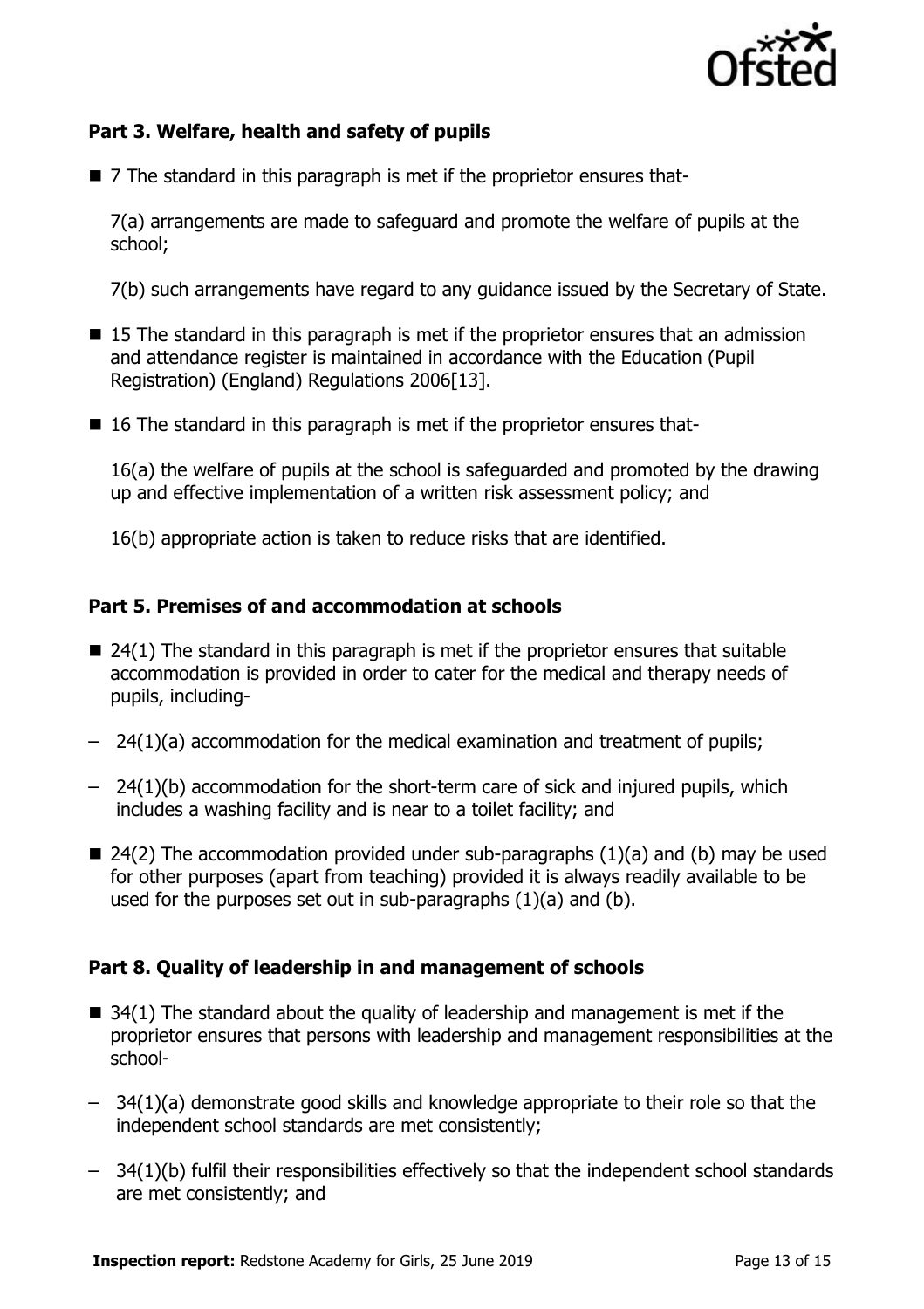

# **Part 3. Welfare, health and safety of pupils**

■ 7 The standard in this paragraph is met if the proprietor ensures that-

7(a) arrangements are made to safeguard and promote the welfare of pupils at the school;

7(b) such arrangements have regard to any guidance issued by the Secretary of State.

- 15 The standard in this paragraph is met if the proprietor ensures that an admission and attendance register is maintained in accordance with the Education (Pupil Registration) (England) Regulations 2006[13].
- 16 The standard in this paragraph is met if the proprietor ensures that-

16(a) the welfare of pupils at the school is safeguarded and promoted by the drawing up and effective implementation of a written risk assessment policy; and

16(b) appropriate action is taken to reduce risks that are identified.

#### **Part 5. Premises of and accommodation at schools**

- $\blacksquare$  24(1) The standard in this paragraph is met if the proprietor ensures that suitable accommodation is provided in order to cater for the medical and therapy needs of pupils, including-
- 24(1)(a) accommodation for the medical examination and treatment of pupils;
- 24(1)(b) accommodation for the short-term care of sick and injured pupils, which includes a washing facility and is near to a toilet facility; and
- $\blacksquare$  24(2) The accommodation provided under sub-paragraphs (1)(a) and (b) may be used for other purposes (apart from teaching) provided it is always readily available to be used for the purposes set out in sub-paragraphs (1)(a) and (b).

# **Part 8. Quality of leadership in and management of schools**

- $\blacksquare$  34(1) The standard about the quality of leadership and management is met if the proprietor ensures that persons with leadership and management responsibilities at the school-
- 34(1)(a) demonstrate good skills and knowledge appropriate to their role so that the independent school standards are met consistently;
- 34(1)(b) fulfil their responsibilities effectively so that the independent school standards are met consistently; and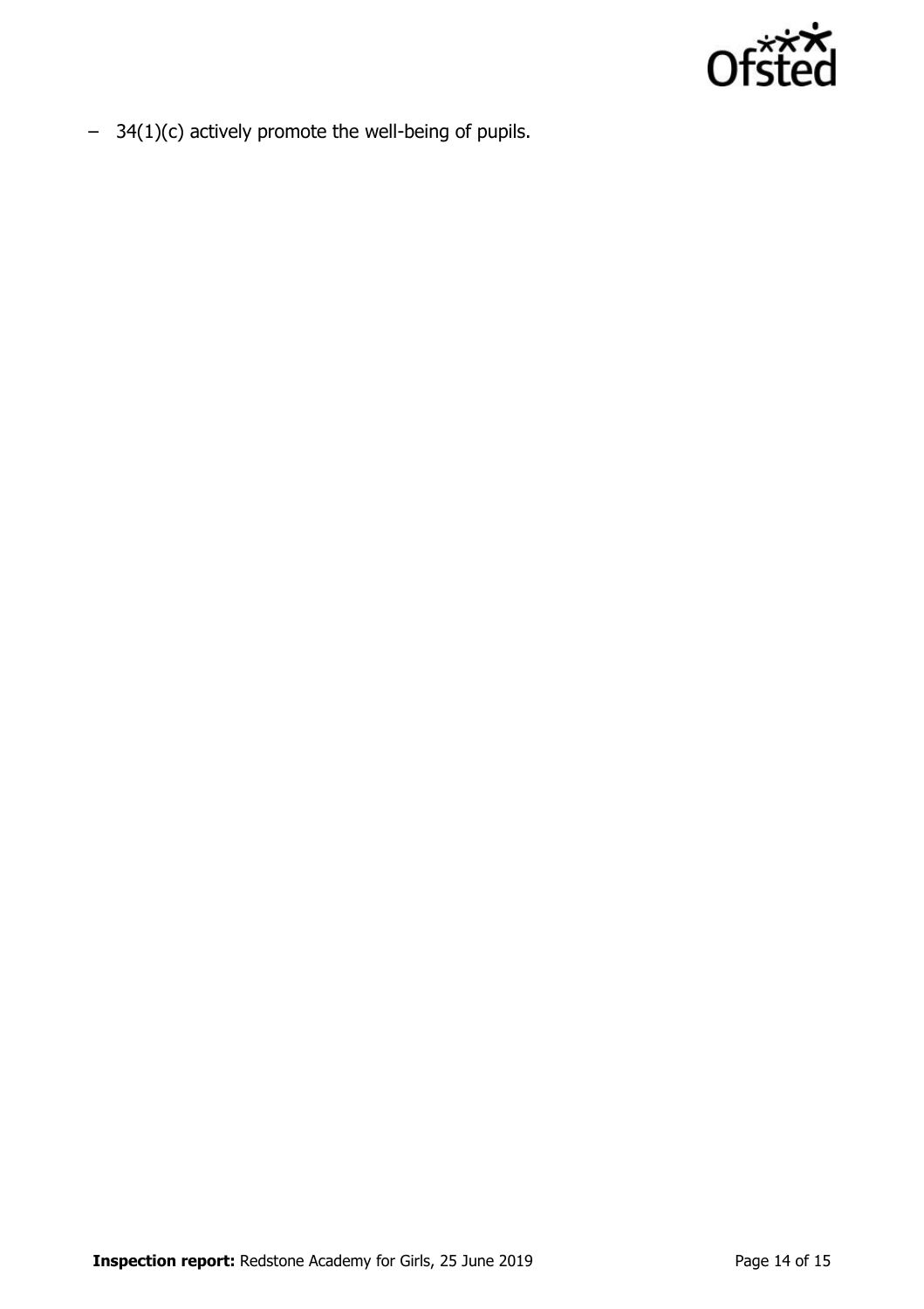

– 34(1)(c) actively promote the well-being of pupils.